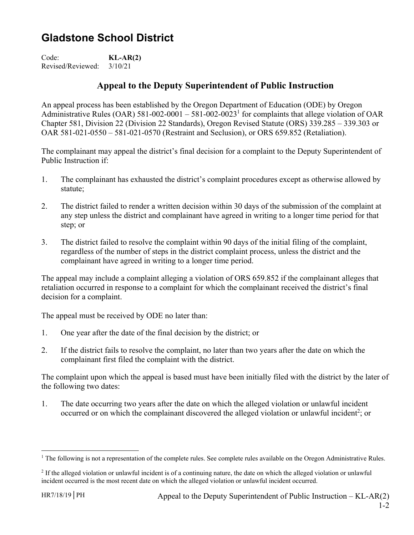## **Gladstone School District**

Code: **KL-AR(2)**  Revised/Reviewed: 3/10/21

## **Appeal to the Deputy Superintendent of Public Instruction**

An appeal process has been established by the Oregon Department of Education (ODE) by Oregon Administrative Rules (OAR) 581-002-0001 – 581-002-0023<sup>1</sup> for complaints that allege violation of OAR Chapter 581, Division 22 (Division 22 Standards), Oregon Revised Statute (ORS) 339.285 – 339.303 or OAR 581-021-0550 – 581-021-0570 (Restraint and Seclusion), or ORS 659.852 (Retaliation).

The complainant may appeal the district's final decision for a complaint to the Deputy Superintendent of Public Instruction if:

- 1. The complainant has exhausted the district's complaint procedures except as otherwise allowed by statute;
- 2. The district failed to render a written decision within 30 days of the submission of the complaint at any step unless the district and complainant have agreed in writing to a longer time period for that step; or
- 3. The district failed to resolve the complaint within 90 days of the initial filing of the complaint, regardless of the number of steps in the district complaint process, unless the district and the complainant have agreed in writing to a longer time period.

The appeal may include a complaint alleging a violation of ORS 659.852 if the complainant alleges that retaliation occurred in response to a complaint for which the complainant received the district's final decision for a complaint.

The appeal must be received by ODE no later than:

- 1. One year after the date of the final decision by the district; or
- 2. If the district fails to resolve the complaint, no later than two years after the date on which the complainant first filed the complaint with the district.

The complaint upon which the appeal is based must have been initially filed with the district by the later of the following two dates:

1. The date occurring two years after the date on which the alleged violation or unlawful incident occurred or on which the complainant discovered the alleged violation or unlawful incident<sup>2</sup>; or

 $\overline{a}$ 

<sup>&</sup>lt;sup>1</sup> The following is not a representation of the complete rules. See complete rules available on the Oregon Administrative Rules.

<sup>&</sup>lt;sup>2</sup> If the alleged violation or unlawful incident is of a continuing nature, the date on which the alleged violation or unlawful incident occurred is the most recent date on which the alleged violation or unlawful incident occurred.